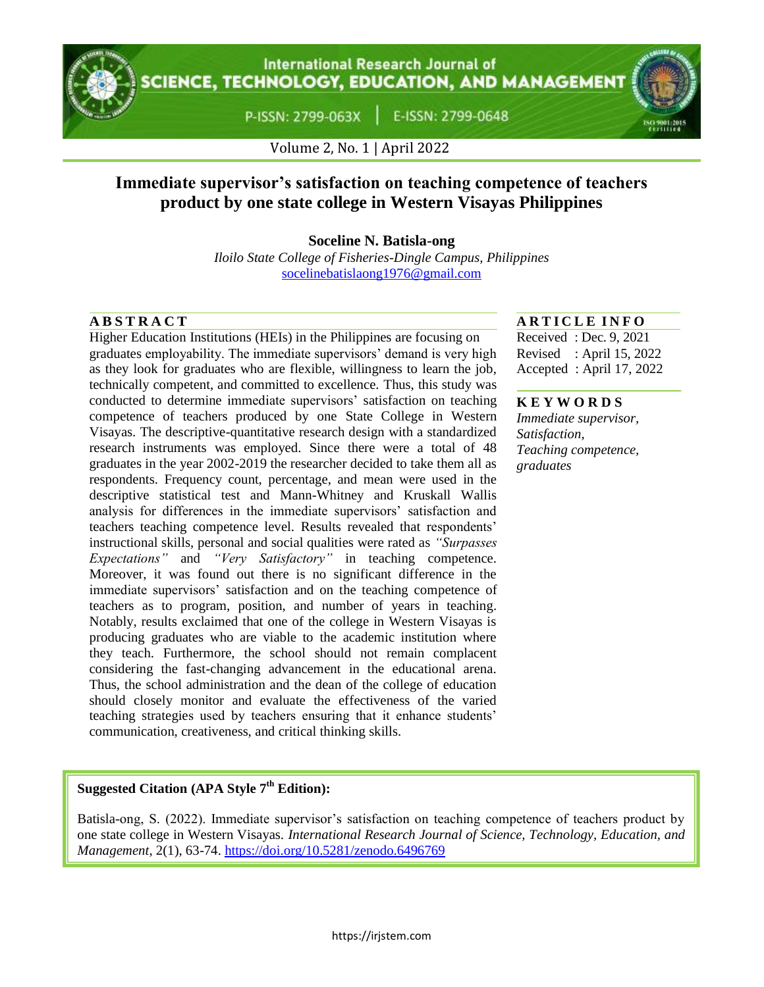**International Research Journal of CIENCE, TECHNOLOGY, EDUCATION, AND MANAGEMENT** 

P-ISSN: 2799-063X

E-ISSN: 2799-0648



Volume 2, No. 1 | April 2022

# **Immediate supervisor's satisfaction on teaching competence of teachers product by one state college in Western Visayas Philippines**

**Soceline N. Batisla-ong**

*Iloilo State College of Fisheries-Dingle Campus, Philippines* [socelinebatislaong1976@gmail.com](mailto:socelinebatislaong1976@gmail.com)

Higher Education Institutions (HEIs) in the Philippines are focusing on graduates employability. The immediate supervisors' demand is very high as they look for graduates who are flexible, willingness to learn the job, technically competent, and committed to excellence. Thus, this study was conducted to determine immediate supervisors' satisfaction on teaching competence of teachers produced by one State College in Western Visayas. The descriptive-quantitative research design with a standardized research instruments was employed. Since there were a total of 48 graduates in the year 2002-2019 the researcher decided to take them all as respondents. Frequency count, percentage, and mean were used in the descriptive statistical test and Mann-Whitney and Kruskall Wallis analysis for differences in the immediate supervisors' satisfaction and teachers teaching competence level. Results revealed that respondents" instructional skills, personal and social qualities were rated as *"Surpasses Expectations"* and *"Very Satisfactory"* in teaching competence. Moreover, it was found out there is no significant difference in the immediate supervisors' satisfaction and on the teaching competence of teachers as to program, position, and number of years in teaching. Notably, results exclaimed that one of the college in Western Visayas is producing graduates who are viable to the academic institution where they teach. Furthermore, the school should not remain complacent considering the fast-changing advancement in the educational arena. Thus, the school administration and the dean of the college of education should closely monitor and evaluate the effectiveness of the varied teaching strategies used by teachers ensuring that it enhance students" communication, creativeness, and critical thinking skills.

### **A B S T R A C T A R T I C L E I N F O**

Received : Dec. 9, 2021 Revised : April 15, 2022 Accepted : April 17, 2022

#### **K E Y W O R D S**

*Immediate supervisor, Satisfaction, Teaching competence, graduates*

## **Suggested Citation (APA Style 7th Edition):**

Batisla-ong, S. (2022). Immediate supervisor"s satisfaction on teaching competence of teachers product by one state college in Western Visayas. *International Research Journal of Science, Technology, Education, and Management*, 2(1), 63-74. https://doi.org/10.5281/zenodo.6496769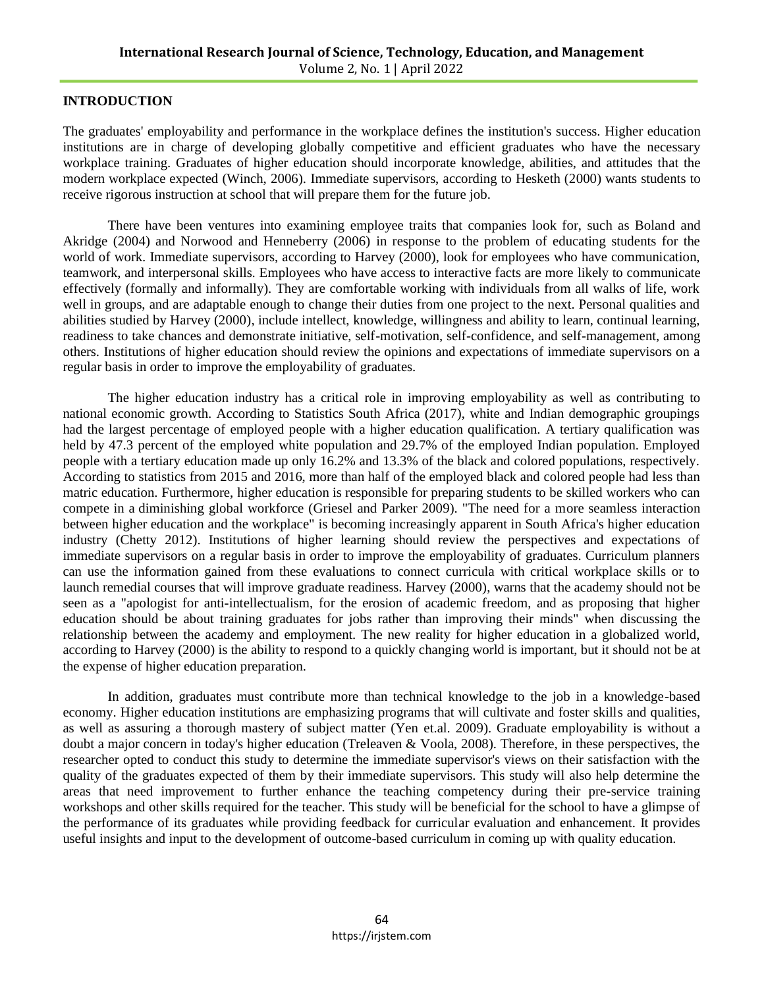#### **INTRODUCTION**

The graduates' employability and performance in the workplace defines the institution's success. Higher education institutions are in charge of developing globally competitive and efficient graduates who have the necessary workplace training. Graduates of higher education should incorporate knowledge, abilities, and attitudes that the modern workplace expected (Winch, 2006). Immediate supervisors, according to Hesketh (2000) wants students to receive rigorous instruction at school that will prepare them for the future job.

There have been ventures into examining employee traits that companies look for, such as Boland and Akridge (2004) and Norwood and Henneberry (2006) in response to the problem of educating students for the world of work. Immediate supervisors, according to Harvey (2000), look for employees who have communication, teamwork, and interpersonal skills. Employees who have access to interactive facts are more likely to communicate effectively (formally and informally). They are comfortable working with individuals from all walks of life, work well in groups, and are adaptable enough to change their duties from one project to the next. Personal qualities and abilities studied by Harvey (2000), include intellect, knowledge, willingness and ability to learn, continual learning, readiness to take chances and demonstrate initiative, self-motivation, self-confidence, and self-management, among others. Institutions of higher education should review the opinions and expectations of immediate supervisors on a regular basis in order to improve the employability of graduates.

The higher education industry has a critical role in improving employability as well as contributing to national economic growth. According to Statistics South Africa (2017), white and Indian demographic groupings had the largest percentage of employed people with a higher education qualification. A tertiary qualification was held by 47.3 percent of the employed white population and 29.7% of the employed Indian population. Employed people with a tertiary education made up only 16.2% and 13.3% of the black and colored populations, respectively. According to statistics from 2015 and 2016, more than half of the employed black and colored people had less than matric education. Furthermore, higher education is responsible for preparing students to be skilled workers who can compete in a diminishing global workforce (Griesel and Parker 2009). "The need for a more seamless interaction between higher education and the workplace" is becoming increasingly apparent in South Africa's higher education industry (Chetty 2012). Institutions of higher learning should review the perspectives and expectations of immediate supervisors on a regular basis in order to improve the employability of graduates. Curriculum planners can use the information gained from these evaluations to connect curricula with critical workplace skills or to launch remedial courses that will improve graduate readiness. Harvey (2000), warns that the academy should not be seen as a "apologist for anti-intellectualism, for the erosion of academic freedom, and as proposing that higher education should be about training graduates for jobs rather than improving their minds" when discussing the relationship between the academy and employment. The new reality for higher education in a globalized world, according to Harvey (2000) is the ability to respond to a quickly changing world is important, but it should not be at the expense of higher education preparation.

In addition, graduates must contribute more than technical knowledge to the job in a knowledge-based economy. Higher education institutions are emphasizing programs that will cultivate and foster skills and qualities, as well as assuring a thorough mastery of subject matter (Yen et.al. 2009). Graduate employability is without a doubt a major concern in today's higher education (Treleaven & Voola, 2008). Therefore, in these perspectives, the researcher opted to conduct this study to determine the immediate supervisor's views on their satisfaction with the quality of the graduates expected of them by their immediate supervisors. This study will also help determine the areas that need improvement to further enhance the teaching competency during their pre-service training workshops and other skills required for the teacher. This study will be beneficial for the school to have a glimpse of the performance of its graduates while providing feedback for curricular evaluation and enhancement. It provides useful insights and input to the development of outcome-based curriculum in coming up with quality education.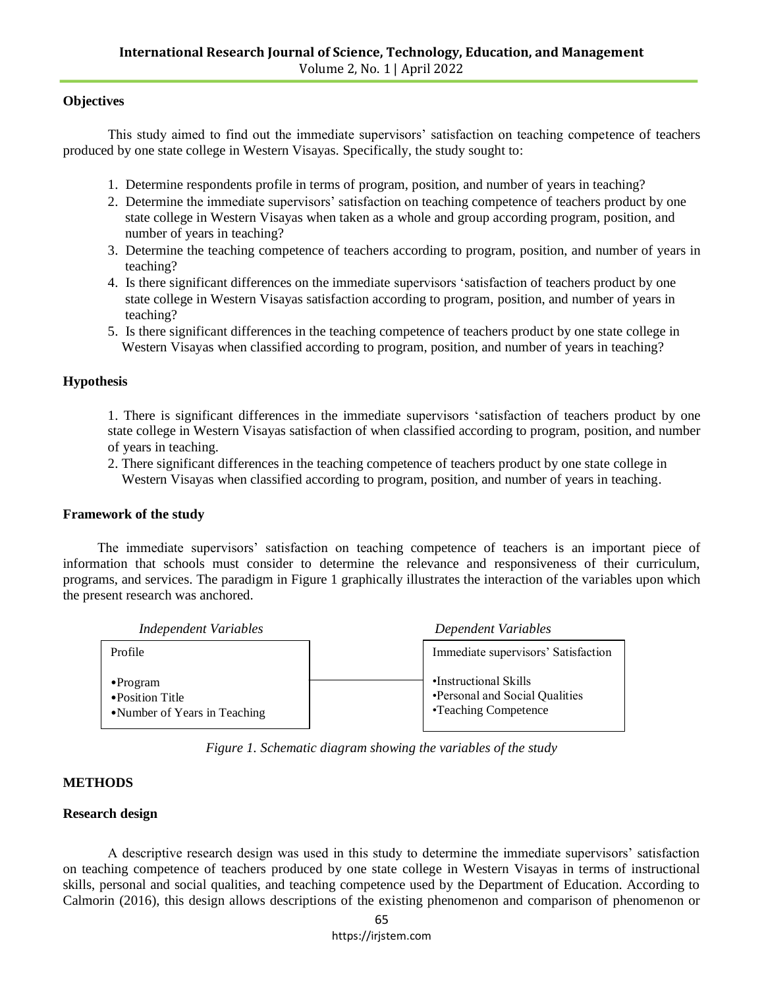#### **Objectives**

This study aimed to find out the immediate supervisors" satisfaction on teaching competence of teachers produced by one state college in Western Visayas. Specifically, the study sought to:

- 1. Determine respondents profile in terms of program, position, and number of years in teaching?
- 2. Determine the immediate supervisors" satisfaction on teaching competence of teachers product by one state college in Western Visayas when taken as a whole and group according program, position, and number of years in teaching?
- 3. Determine the teaching competence of teachers according to program, position, and number of years in teaching?
- 4. Is there significant differences on the immediate supervisors "satisfaction of teachers product by one state college in Western Visayas satisfaction according to program, position, and number of years in teaching?
- 5. Is there significant differences in the teaching competence of teachers product by one state college in Western Visayas when classified according to program, position, and number of years in teaching?

#### **Hypothesis**

1. There is significant differences in the immediate supervisors "satisfaction of teachers product by one state college in Western Visayas satisfaction of when classified according to program, position, and number of years in teaching.

2. There significant differences in the teaching competence of teachers product by one state college in Western Visayas when classified according to program, position, and number of years in teaching.

#### **Framework of the study**

The immediate supervisors' satisfaction on teaching competence of teachers is an important piece of information that schools must consider to determine the relevance and responsiveness of their curriculum, programs, and services. The paradigm in Figure 1 graphically illustrates the interaction of the variables upon which the present research was anchored.



*Figure 1. Schematic diagram showing the variables of the study*

#### **METHODS**

#### **Research design**

A descriptive research design was used in this study to determine the immediate supervisors" satisfaction on teaching competence of teachers produced by one state college in Western Visayas in terms of instructional skills, personal and social qualities, and teaching competence used by the Department of Education. According to Calmorin (2016), this design allows descriptions of the existing phenomenon and comparison of phenomenon or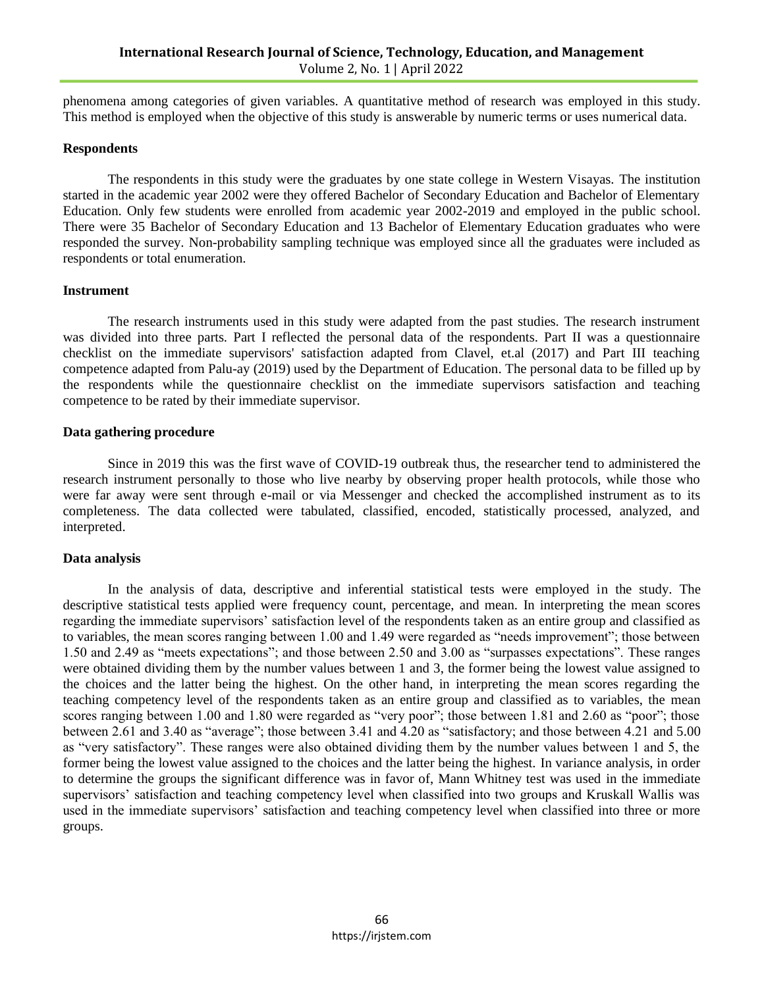phenomena among categories of given variables. A quantitative method of research was employed in this study. This method is employed when the objective of this study is answerable by numeric terms or uses numerical data.

#### **Respondents**

The respondents in this study were the graduates by one state college in Western Visayas. The institution started in the academic year 2002 were they offered Bachelor of Secondary Education and Bachelor of Elementary Education. Only few students were enrolled from academic year 2002-2019 and employed in the public school. There were 35 Bachelor of Secondary Education and 13 Bachelor of Elementary Education graduates who were responded the survey. Non-probability sampling technique was employed since all the graduates were included as respondents or total enumeration.

#### **Instrument**

The research instruments used in this study were adapted from the past studies. The research instrument was divided into three parts. Part I reflected the personal data of the respondents. Part II was a questionnaire checklist on the immediate supervisors' satisfaction adapted from Clavel, et.al (2017) and Part III teaching competence adapted from Palu-ay (2019) used by the Department of Education. The personal data to be filled up by the respondents while the questionnaire checklist on the immediate supervisors satisfaction and teaching competence to be rated by their immediate supervisor.

#### **Data gathering procedure**

Since in 2019 this was the first wave of COVID-19 outbreak thus, the researcher tend to administered the research instrument personally to those who live nearby by observing proper health protocols, while those who were far away were sent through e-mail or via Messenger and checked the accomplished instrument as to its completeness. The data collected were tabulated, classified, encoded, statistically processed, analyzed, and interpreted.

#### **Data analysis**

In the analysis of data, descriptive and inferential statistical tests were employed in the study. The descriptive statistical tests applied were frequency count, percentage, and mean. In interpreting the mean scores regarding the immediate supervisors" satisfaction level of the respondents taken as an entire group and classified as to variables, the mean scores ranging between 1.00 and 1.49 were regarded as "needs improvement"; those between 1.50 and 2.49 as "meets expectations"; and those between 2.50 and 3.00 as "surpasses expectations". These ranges were obtained dividing them by the number values between 1 and 3, the former being the lowest value assigned to the choices and the latter being the highest. On the other hand, in interpreting the mean scores regarding the teaching competency level of the respondents taken as an entire group and classified as to variables, the mean scores ranging between 1.00 and 1.80 were regarded as "very poor"; those between 1.81 and 2.60 as "poor"; those between 2.61 and 3.40 as "average"; those between 3.41 and 4.20 as "satisfactory; and those between 4.21 and 5.00 as "very satisfactory". These ranges were also obtained dividing them by the number values between 1 and 5, the former being the lowest value assigned to the choices and the latter being the highest. In variance analysis, in order to determine the groups the significant difference was in favor of, Mann Whitney test was used in the immediate supervisors' satisfaction and teaching competency level when classified into two groups and Kruskall Wallis was used in the immediate supervisors' satisfaction and teaching competency level when classified into three or more groups.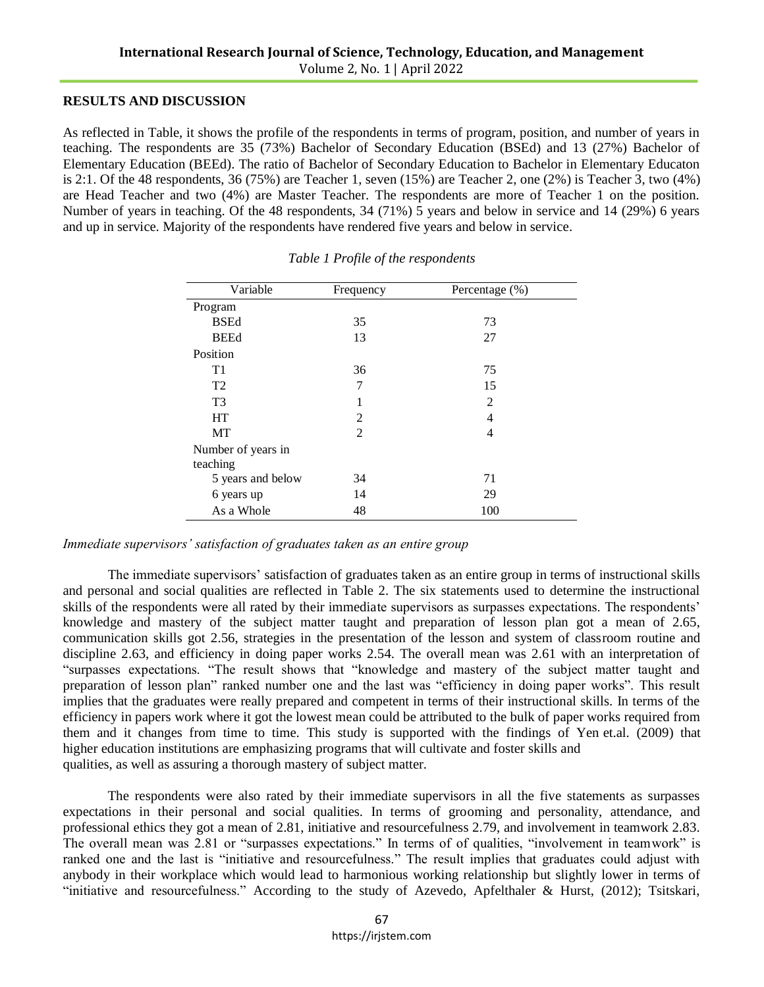#### **RESULTS AND DISCUSSION**

As reflected in Table, it shows the profile of the respondents in terms of program, position, and number of years in teaching. The respondents are 35 (73%) Bachelor of Secondary Education (BSEd) and 13 (27%) Bachelor of Elementary Education (BEEd). The ratio of Bachelor of Secondary Education to Bachelor in Elementary Educaton is 2:1. Of the 48 respondents, 36 (75%) are Teacher 1, seven (15%) are Teacher 2, one (2%) is Teacher 3, two  $(4\%)$ are Head Teacher and two (4%) are Master Teacher. The respondents are more of Teacher 1 on the position. Number of years in teaching. Of the 48 respondents, 34 (71%) 5 years and below in service and 14 (29%) 6 years and up in service. Majority of the respondents have rendered five years and below in service.

| Variable                      | Frequency      | Percentage (%) |  |
|-------------------------------|----------------|----------------|--|
| Program                       |                |                |  |
| <b>BSEd</b>                   | 35             | 73             |  |
| <b>BEEd</b>                   | 13             | 27             |  |
| Position                      |                |                |  |
| T1                            | 36             | 75             |  |
| T2                            | 7              | 15             |  |
| T <sub>3</sub>                | 1              | 2              |  |
| <b>HT</b>                     | 2              | 4              |  |
| MT                            | $\mathfrak{D}$ | 4              |  |
| Number of years in            |                |                |  |
| teaching<br>5 years and below | 34             | 71             |  |
| 6 years up                    | 14             | 29             |  |
| As a Whole                    | 48             | 100            |  |

*Table 1 Profile of the respondents*

#### *Immediate supervisors' satisfaction of graduates taken as an entire group*

The immediate supervisors" satisfaction of graduates taken as an entire group in terms of instructional skills and personal and social qualities are reflected in Table 2. The six statements used to determine the instructional skills of the respondents were all rated by their immediate supervisors as surpasses expectations. The respondents' knowledge and mastery of the subject matter taught and preparation of lesson plan got a mean of 2.65, communication skills got 2.56, strategies in the presentation of the lesson and system of classroom routine and discipline 2.63, and efficiency in doing paper works 2.54. The overall mean was 2.61 with an interpretation of "surpasses expectations. "The result shows that "knowledge and mastery of the subject matter taught and preparation of lesson plan" ranked number one and the last was "efficiency in doing paper works". This result implies that the graduates were really prepared and competent in terms of their instructional skills. In terms of the efficiency in papers work where it got the lowest mean could be attributed to the bulk of paper works required from them and it changes from time to time. This study is supported with the findings of Yen et.al. (2009) that higher education institutions are emphasizing programs that will cultivate and foster skills and qualities, as well as assuring a thorough mastery of subject matter.

The respondents were also rated by their immediate supervisors in all the five statements as surpasses expectations in their personal and social qualities. In terms of grooming and personality, attendance, and professional ethics they got a mean of 2.81, initiative and resourcefulness 2.79, and involvement in teamwork 2.83. The overall mean was 2.81 or "surpasses expectations." In terms of of qualities, "involvement in teamwork" is ranked one and the last is "initiative and resourcefulness." The result implies that graduates could adjust with anybody in their workplace which would lead to harmonious working relationship but slightly lower in terms of "initiative and resourcefulness." According to the study of Azevedo, Apfelthaler & Hurst, (2012); Tsitskari,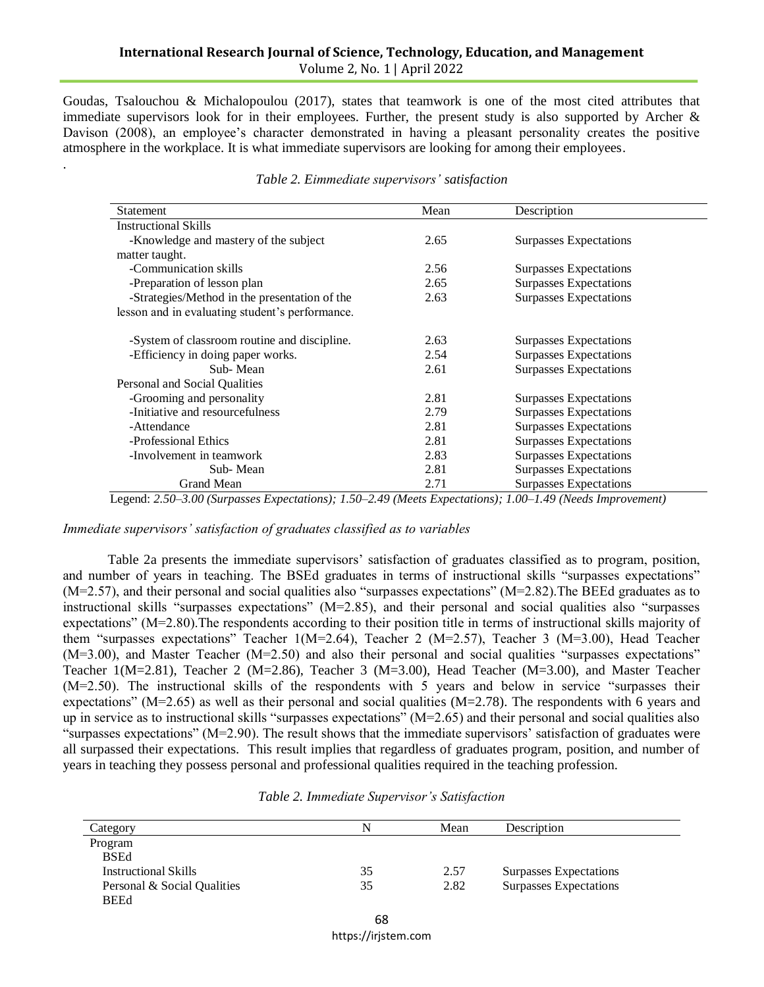Goudas, Tsalouchou & Michalopoulou (2017), states that teamwork is one of the most cited attributes that immediate supervisors look for in their employees. Further, the present study is also supported by Archer & Davison (2008), an employee's character demonstrated in having a pleasant personality creates the positive atmosphere in the workplace. It is what immediate supervisors are looking for among their employees.

| Statement                                       | Mean | Description                   |
|-------------------------------------------------|------|-------------------------------|
| <b>Instructional Skills</b>                     |      |                               |
| -Knowledge and mastery of the subject           | 2.65 | Surpasses Expectations        |
| matter taught.                                  |      |                               |
| -Communication skills                           | 2.56 | <b>Surpasses Expectations</b> |
| -Preparation of lesson plan                     | 2.65 | Surpasses Expectations        |
| -Strategies/Method in the presentation of the   | 2.63 | <b>Surpasses Expectations</b> |
| lesson and in evaluating student's performance. |      |                               |
|                                                 |      |                               |
| -System of classroom routine and discipline.    | 2.63 | <b>Surpasses Expectations</b> |
| -Efficiency in doing paper works.               | 2.54 | <b>Surpasses Expectations</b> |
| Sub-Mean                                        | 2.61 | <b>Surpasses Expectations</b> |
| Personal and Social Qualities                   |      |                               |
| -Grooming and personality                       | 2.81 | <b>Surpasses Expectations</b> |
| -Initiative and resourcefulness                 | 2.79 | <b>Surpasses Expectations</b> |
| -Attendance                                     | 2.81 | Surpasses Expectations        |
| -Professional Ethics                            | 2.81 | <b>Surpasses Expectations</b> |
| -Involvement in teamwork                        | 2.83 | <b>Surpasses Expectations</b> |
| Sub-Mean                                        | 2.81 | <b>Surpasses Expectations</b> |
| <b>Grand Mean</b>                               | 2.71 | <b>Surpasses Expectations</b> |

#### *Table 2. Eimmediate supervisors' satisfaction*

Legend: *2.50–3.00 (Surpasses Expectations); 1.50–2.49 (Meets Expectations); 1.00–1.49 (Needs Improvement)*

*Immediate supervisors' satisfaction of graduates classified as to variables*

.

Table 2a presents the immediate supervisors" satisfaction of graduates classified as to program, position, and number of years in teaching. The BSEd graduates in terms of instructional skills "surpasses expectations"  $(M=2.57)$ , and their personal and social qualities also "surpasses expectations"  $(M=2.82)$ . The BEEd graduates as to instructional skills "surpasses expectations" (M=2.85), and their personal and social qualities also "surpasses expectations" (M=2.80).The respondents according to their position title in terms of instructional skills majority of them "surpasses expectations" Teacher 1(M=2.64), Teacher 2 (M=2.57), Teacher 3 (M=3.00), Head Teacher (M=3.00), and Master Teacher (M=2.50) and also their personal and social qualities "surpasses expectations" Teacher 1(M=2.81), Teacher 2 (M=2.86), Teacher 3 (M=3.00), Head Teacher (M=3.00), and Master Teacher (M=2.50). The instructional skills of the respondents with 5 years and below in service "surpasses their expectations" ( $M=2.65$ ) as well as their personal and social qualities ( $M=2.78$ ). The respondents with 6 years and up in service as to instructional skills "surpasses expectations" (M=2.65) and their personal and social qualities also "surpasses expectations" (M=2.90). The result shows that the immediate supervisors' satisfaction of graduates were all surpassed their expectations. This result implies that regardless of graduates program, position, and number of years in teaching they possess personal and professional qualities required in the teaching profession.

| Category                    |    | Mean | Description                   |
|-----------------------------|----|------|-------------------------------|
| Program                     |    |      |                               |
| BSEd                        |    |      |                               |
| Instructional Skills        | 35 | 2.57 | Surpasses Expectations        |
| Personal & Social Qualities | 35 | 2.82 | <b>Surpasses Expectations</b> |
| BEEd                        |    |      |                               |

|  | Table 2. Immediate Supervisor's Satisfaction |
|--|----------------------------------------------|
|  |                                              |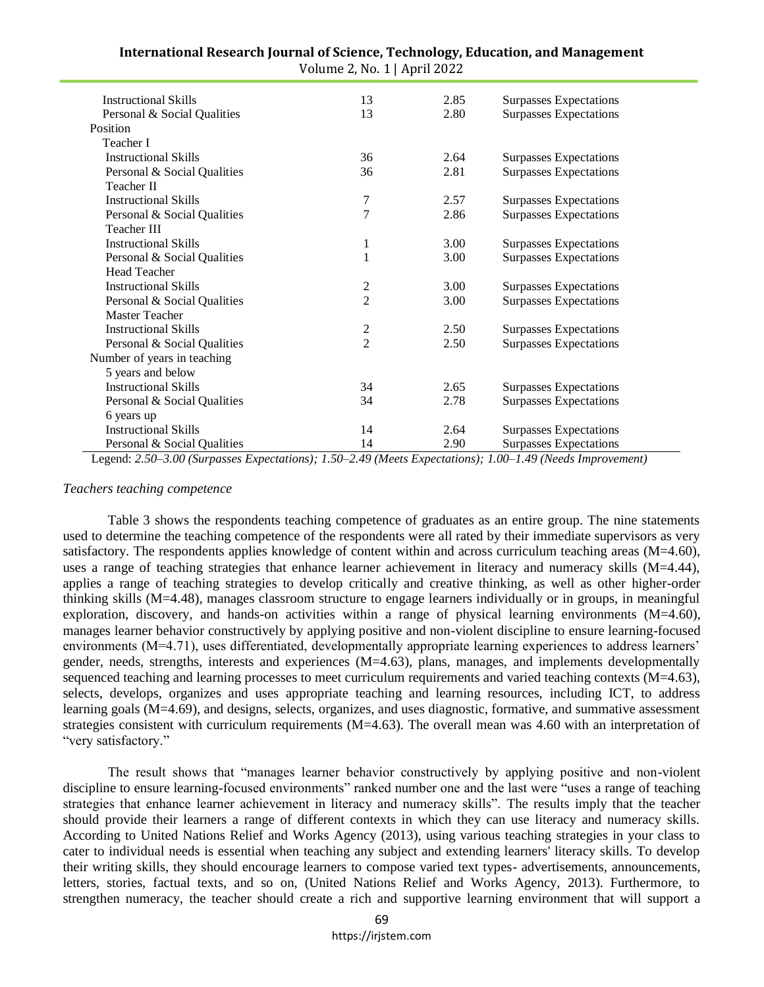| <b>Instructional Skills</b> | 13                      | 2.85 | Surpasses Expectations        |
|-----------------------------|-------------------------|------|-------------------------------|
| Personal & Social Qualities | 13                      | 2.80 | Surpasses Expectations        |
| Position                    |                         |      |                               |
| Teacher I                   |                         |      |                               |
| <b>Instructional Skills</b> | 36                      | 2.64 | Surpasses Expectations        |
| Personal & Social Qualities | 36                      | 2.81 | Surpasses Expectations        |
| Teacher II                  |                         |      |                               |
| <b>Instructional Skills</b> | 7                       | 2.57 | Surpasses Expectations        |
| Personal & Social Qualities | $\overline{7}$          | 2.86 | Surpasses Expectations        |
| Teacher III                 |                         |      |                               |
| <b>Instructional Skills</b> | 1                       | 3.00 | Surpasses Expectations        |
| Personal & Social Qualities | $\mathbf{1}$            | 3.00 | Surpasses Expectations        |
| <b>Head Teacher</b>         |                         |      |                               |
| <b>Instructional Skills</b> | $\overline{c}$          | 3.00 | Surpasses Expectations        |
| Personal & Social Qualities | $\overline{2}$          | 3.00 | Surpasses Expectations        |
| Master Teacher              |                         |      |                               |
| <b>Instructional Skills</b> | $\overline{\mathbf{c}}$ | 2.50 | Surpasses Expectations        |
| Personal & Social Qualities | $\overline{2}$          | 2.50 | <b>Surpasses Expectations</b> |
| Number of years in teaching |                         |      |                               |
| 5 years and below           |                         |      |                               |
| <b>Instructional Skills</b> | 34                      | 2.65 | Surpasses Expectations        |
| Personal & Social Qualities | 34                      | 2.78 | Surpasses Expectations        |
| 6 years up                  |                         |      |                               |
| <b>Instructional Skills</b> | 14                      | 2.64 | Surpasses Expectations        |
| Personal & Social Qualities | 14                      | 2.90 | <b>Surpasses Expectations</b> |

**International Research Journal of Science, Technology, Education, and Management** Volume 2, No. 1 | April 2022

Legend: *2.50–3.00 (Surpasses Expectations); 1.50–2.49 (Meets Expectations); 1.00–1.49 (Needs Improvement)*

#### *Teachers teaching competence*

Table 3 shows the respondents teaching competence of graduates as an entire group. The nine statements used to determine the teaching competence of the respondents were all rated by their immediate supervisors as very satisfactory. The respondents applies knowledge of content within and across curriculum teaching areas  $(M=4.60)$ , uses a range of teaching strategies that enhance learner achievement in literacy and numeracy skills (M=4.44), applies a range of teaching strategies to develop critically and creative thinking, as well as other higher-order thinking skills (M=4.48), manages classroom structure to engage learners individually or in groups, in meaningful exploration, discovery, and hands-on activities within a range of physical learning environments  $(M=4.60)$ , manages learner behavior constructively by applying positive and non-violent discipline to ensure learning-focused environments (M=4.71), uses differentiated, developmentally appropriate learning experiences to address learners' gender, needs, strengths, interests and experiences (M=4.63), plans, manages, and implements developmentally sequenced teaching and learning processes to meet curriculum requirements and varied teaching contexts  $(M=4.63)$ , selects, develops, organizes and uses appropriate teaching and learning resources, including ICT, to address learning goals (M=4.69), and designs, selects, organizes, and uses diagnostic, formative, and summative assessment strategies consistent with curriculum requirements (M=4.63). The overall mean was 4.60 with an interpretation of "very satisfactory."

The result shows that "manages learner behavior constructively by applying positive and non-violent discipline to ensure learning-focused environments" ranked number one and the last were "uses a range of teaching strategies that enhance learner achievement in literacy and numeracy skills". The results imply that the teacher should provide their learners a range of different contexts in which they can use literacy and numeracy skills. According to United Nations Relief and Works Agency (2013), using various teaching strategies in your class to cater to individual needs is essential when teaching any subject and extending learners' literacy skills. To develop their writing skills, they should encourage learners to compose varied text types- advertisements, announcements, letters, stories, factual texts, and so on, (United Nations Relief and Works Agency, 2013). Furthermore, to strengthen numeracy, the teacher should create a rich and supportive learning environment that will support a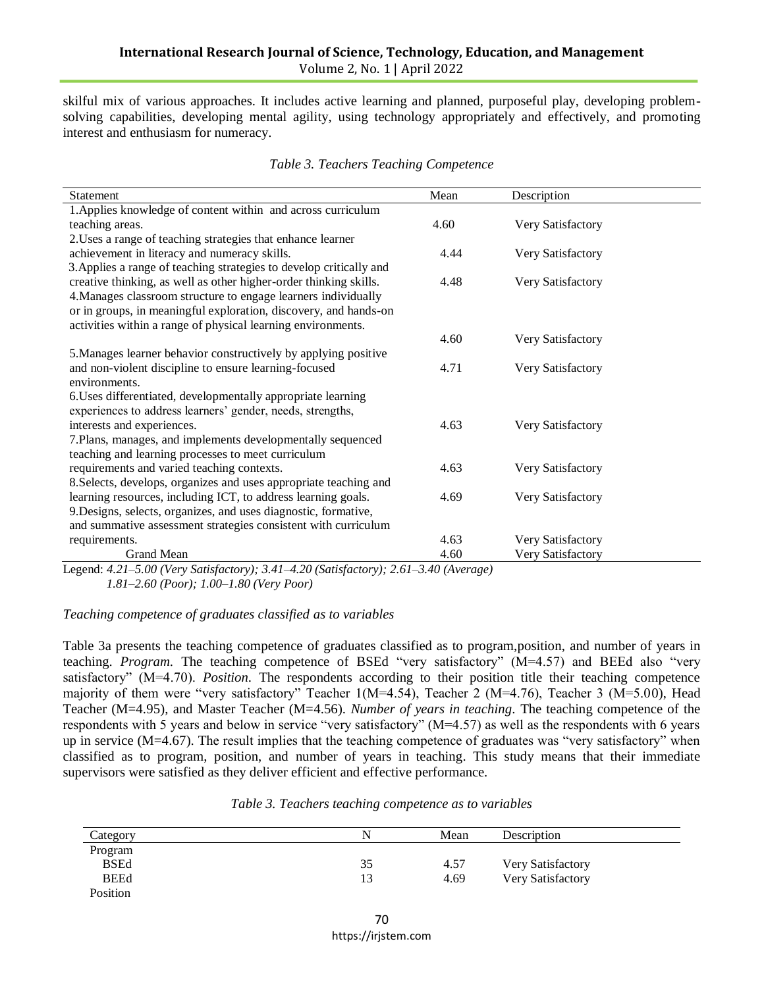skilful mix of various approaches. It includes active learning and planned, purposeful play, developing problemsolving capabilities, developing mental agility, using technology appropriately and effectively, and promoting interest and enthusiasm for numeracy.

| Statement                                                                                                                         | Mean                                                | Description       |  |
|-----------------------------------------------------------------------------------------------------------------------------------|-----------------------------------------------------|-------------------|--|
| 1. Applies knowledge of content within and across curriculum                                                                      |                                                     |                   |  |
| teaching areas.                                                                                                                   | 4.60                                                | Very Satisfactory |  |
| 2. Uses a range of teaching strategies that enhance learner                                                                       |                                                     |                   |  |
| achievement in literacy and numeracy skills.                                                                                      | 4.44                                                | Very Satisfactory |  |
| 3. Applies a range of teaching strategies to develop critically and                                                               |                                                     |                   |  |
| creative thinking, as well as other higher-order thinking skills.                                                                 | 4.48                                                | Very Satisfactory |  |
| 4. Manages classroom structure to engage learners individually                                                                    |                                                     |                   |  |
| or in groups, in meaningful exploration, discovery, and hands-on                                                                  |                                                     |                   |  |
| activities within a range of physical learning environments.                                                                      |                                                     |                   |  |
|                                                                                                                                   | 4.60                                                | Very Satisfactory |  |
| 5. Manages learner behavior constructively by applying positive                                                                   |                                                     |                   |  |
| and non-violent discipline to ensure learning-focused                                                                             | 4.71                                                | Very Satisfactory |  |
| environments.                                                                                                                     |                                                     |                   |  |
| 6. Uses differentiated, developmentally appropriate learning                                                                      |                                                     |                   |  |
| experiences to address learners' gender, needs, strengths,                                                                        |                                                     |                   |  |
| interests and experiences.                                                                                                        | 4.63                                                | Very Satisfactory |  |
| 7. Plans, manages, and implements developmentally sequenced                                                                       |                                                     |                   |  |
| teaching and learning processes to meet curriculum                                                                                |                                                     |                   |  |
| requirements and varied teaching contexts.                                                                                        | 4.63                                                | Very Satisfactory |  |
| 8. Selects, develops, organizes and uses appropriate teaching and                                                                 |                                                     |                   |  |
| learning resources, including ICT, to address learning goals.                                                                     | 4.69                                                | Very Satisfactory |  |
| 9. Designs, selects, organizes, and uses diagnostic, formative,                                                                   |                                                     |                   |  |
| and summative assessment strategies consistent with curriculum                                                                    |                                                     |                   |  |
| requirements.                                                                                                                     | 4.63                                                | Very Satisfactory |  |
| Grand Mean<br>$\sqrt{2}$ $\sqrt{1}$ $\sqrt{20}$ $\sqrt{2}$ $\sqrt{2}$<br>$\alpha$ $\beta$ $\beta$ $\beta$<br>$1.421$ $7.02$ $(1)$ | 4.60<br>$\sqrt{2}$ $\sqrt{1}$ $\sqrt{2}$ $\sqrt{4}$ | Very Satisfactory |  |

#### *Table 3. Teachers Teaching Competence*

Legend: *4.21–5.00 (Very Satisfactory); 3.41–4.20 (Satisfactory); 2.61–3.40 (Average) 1.81–2.60 (Poor); 1.00–1.80 (Very Poor)*

#### *Teaching competence of graduates classified as to variables*

Table 3a presents the teaching competence of graduates classified as to program,position, and number of years in teaching. *Program.* The teaching competence of BSEd "very satisfactory" (M=4.57) and BEEd also "very satisfactory" (M=4.70). *Position*. The respondents according to their position title their teaching competence majority of them were "very satisfactory" Teacher 1(M=4.54), Teacher 2 (M=4.76), Teacher 3 (M=5.00), Head Teacher (M=4.95), and Master Teacher (M=4.56). *Number of years in teaching.* The teaching competence of the respondents with 5 years and below in service "very satisfactory" (M=4.57) as well as the respondents with 6 years up in service (M=4.67). The result implies that the teaching competence of graduates was "very satisfactory" when classified as to program, position, and number of years in teaching. This study means that their immediate supervisors were satisfied as they deliver efficient and effective performance.

| Table 3. Teachers teaching competence as to variables |  |  |
|-------------------------------------------------------|--|--|
|-------------------------------------------------------|--|--|

| Category    | N  | Mean | Description       |  |
|-------------|----|------|-------------------|--|
| Program     |    |      |                   |  |
| <b>BSEd</b> | 35 | 4.57 | Very Satisfactory |  |
| <b>BEEd</b> |    | 4.69 | Very Satisfactory |  |
| Position    |    |      |                   |  |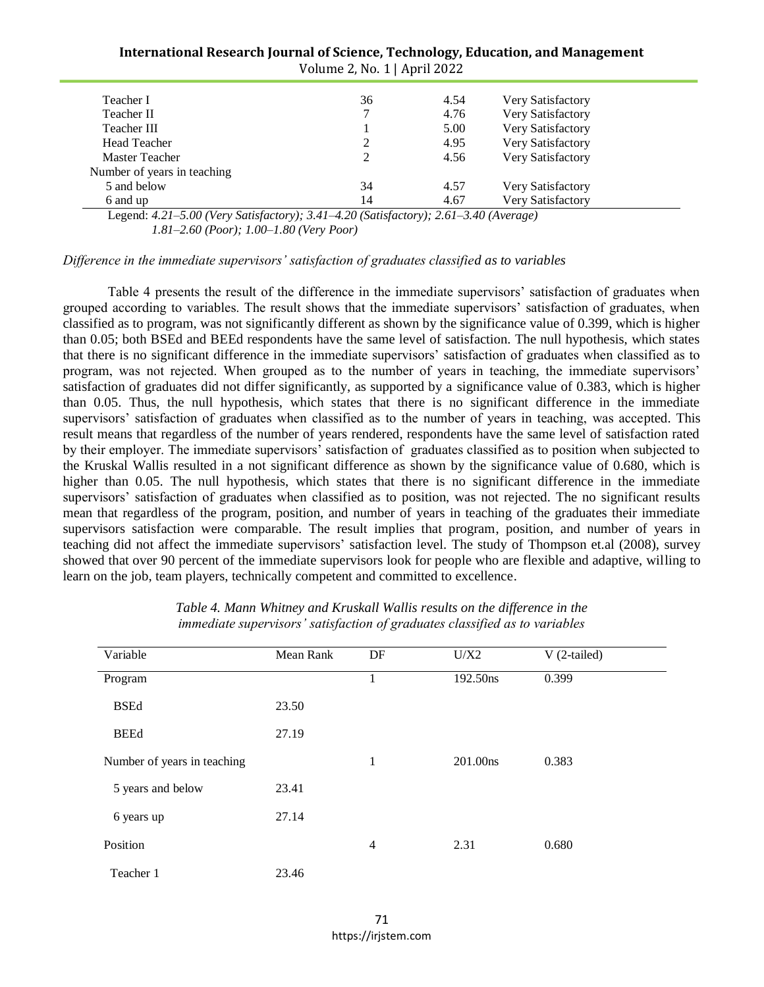| International Research Journal of Science, Technology, Education, and Management |  |
|----------------------------------------------------------------------------------|--|
| Volume 2, No. 1   April 2022                                                     |  |

| Teacher I                                                                                                                                                             | 36                         | 4.54    | Very Satisfactory |
|-----------------------------------------------------------------------------------------------------------------------------------------------------------------------|----------------------------|---------|-------------------|
| Teacher II                                                                                                                                                            |                            | 4.76    | Very Satisfactory |
| Teacher III                                                                                                                                                           |                            | 5.00    | Very Satisfactory |
| <b>Head Teacher</b>                                                                                                                                                   |                            | 4.95    | Very Satisfactory |
| Master Teacher                                                                                                                                                        |                            | 4.56    | Very Satisfactory |
| Number of years in teaching                                                                                                                                           |                            |         |                   |
| 5 and below                                                                                                                                                           | 34                         | 4.57    | Very Satisfactory |
| 6 and up                                                                                                                                                              | 14                         | 4.67    | Very Satisfactory |
| $\mathbf{I}$ $\mathbf{I}$ $\mathbf{A}$ $\mathbf{A}$ $\mathbf{I}$ $\mathbf{A}$ $\mathbf{A}$ $\mathbf{A}$ $\mathbf{I}$ $\mathbf{I}$<br>$\alpha$ $\beta$ $\beta$ $\beta$ | $2.11 \pm 2.000 \pm 0.000$ | 2(1.24) |                   |

Legend: *4.21–5.00 (Very Satisfactory); 3.41–4.20 (Satisfactory); 2.61–3.40 (Average) 1.81–2.60 (Poor); 1.00–1.80 (Very Poor)*

*Difference in the immediate supervisors' satisfaction of graduates classified as to variables*

Table 4 presents the result of the difference in the immediate supervisors" satisfaction of graduates when grouped according to variables. The result shows that the immediate supervisors' satisfaction of graduates, when classified as to program, was not significantly different as shown by the significance value of 0.399, which is higher than 0.05; both BSEd and BEEd respondents have the same level of satisfaction. The null hypothesis, which states that there is no significant difference in the immediate supervisors" satisfaction of graduates when classified as to program, was not rejected. When grouped as to the number of years in teaching, the immediate supervisors" satisfaction of graduates did not differ significantly, as supported by a significance value of 0.383, which is higher than 0.05. Thus, the null hypothesis, which states that there is no significant difference in the immediate supervisors' satisfaction of graduates when classified as to the number of years in teaching, was accepted. This result means that regardless of the number of years rendered, respondents have the same level of satisfaction rated by their employer. The immediate supervisors" satisfaction of graduates classified as to position when subjected to the Kruskal Wallis resulted in a not significant difference as shown by the significance value of 0.680, which is higher than 0.05. The null hypothesis, which states that there is no significant difference in the immediate supervisors' satisfaction of graduates when classified as to position, was not rejected. The no significant results mean that regardless of the program, position, and number of years in teaching of the graduates their immediate supervisors satisfaction were comparable. The result implies that program, position, and number of years in teaching did not affect the immediate supervisors" satisfaction level. The study of Thompson et.al (2008), survey showed that over 90 percent of the immediate supervisors look for people who are flexible and adaptive, willing to learn on the job, team players, technically competent and committed to excellence.

| Variable                    | Mean Rank | DF             | U/X2     | $V(2-tailed)$ |
|-----------------------------|-----------|----------------|----------|---------------|
| Program                     |           | 1              | 192.50ns | 0.399         |
| <b>BSEd</b>                 | 23.50     |                |          |               |
| <b>BEEd</b>                 | 27.19     |                |          |               |
| Number of years in teaching |           | 1              | 201.00ns | 0.383         |
| 5 years and below           | 23.41     |                |          |               |
| 6 years up                  | 27.14     |                |          |               |
| Position                    |           | $\overline{4}$ | 2.31     | 0.680         |
| Teacher 1                   | 23.46     |                |          |               |

*Table 4. Mann Whitney and Kruskall Wallis results on the difference in the immediate supervisors' satisfaction of graduates classified as to variables*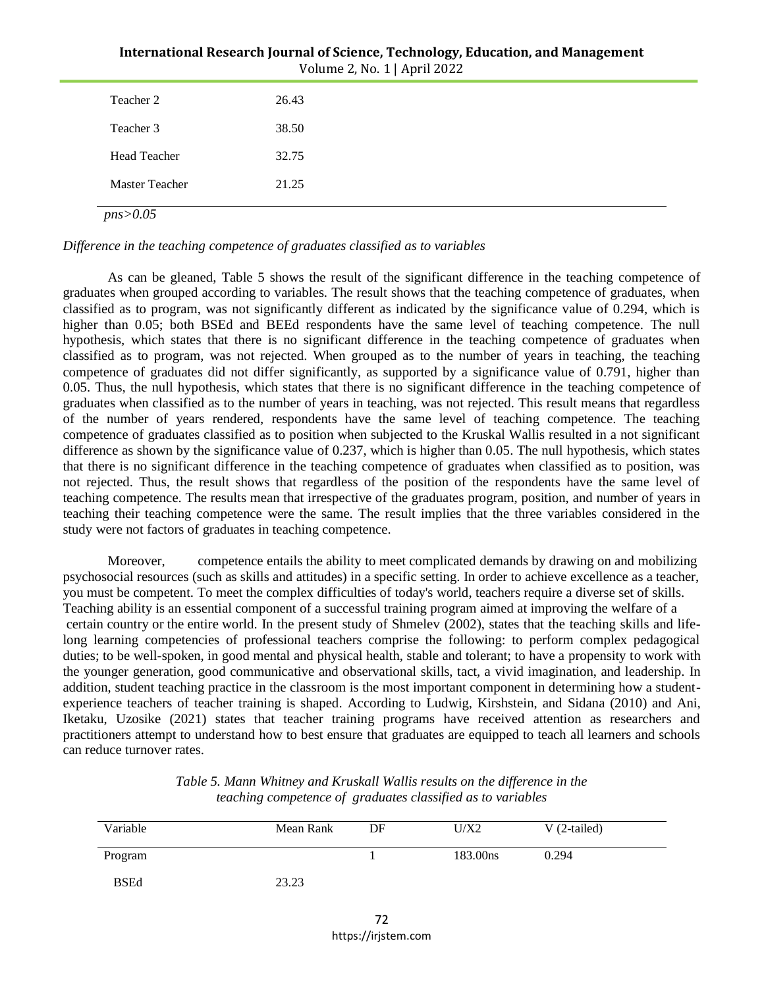| Volume 2, No. 1   April 2022 |       |  |
|------------------------------|-------|--|
| Teacher 2                    | 26.43 |  |
| Teacher 3                    | 38.50 |  |
| <b>Head Teacher</b>          | 32.75 |  |
| <b>Master Teacher</b>        | 21.25 |  |

# **International Research Journal of Science, Technology, Education, and Management**

*Difference in the teaching competence of graduates classified as to variables*

As can be gleaned, Table 5 shows the result of the significant difference in the teaching competence of graduates when grouped according to variables. The result shows that the teaching competence of graduates, when classified as to program, was not significantly different as indicated by the significance value of 0.294, which is higher than 0.05; both BSEd and BEEd respondents have the same level of teaching competence. The null hypothesis, which states that there is no significant difference in the teaching competence of graduates when classified as to program, was not rejected. When grouped as to the number of years in teaching, the teaching competence of graduates did not differ significantly, as supported by a significance value of 0.791, higher than 0.05. Thus, the null hypothesis, which states that there is no significant difference in the teaching competence of graduates when classified as to the number of years in teaching, was not rejected. This result means that regardless of the number of years rendered, respondents have the same level of teaching competence. The teaching competence of graduates classified as to position when subjected to the Kruskal Wallis resulted in a not significant difference as shown by the significance value of 0.237, which is higher than 0.05. The null hypothesis, which states that there is no significant difference in the teaching competence of graduates when classified as to position, was not rejected. Thus, the result shows that regardless of the position of the respondents have the same level of teaching competence. The results mean that irrespective of the graduates program, position, and number of years in teaching their teaching competence were the same. The result implies that the three variables considered in the study were not factors of graduates in teaching competence.

Moreover, competence entails the ability to meet complicated demands by drawing on and mobilizing psychosocial resources (such as skills and attitudes) in a specific setting. In order to achieve excellence as a teacher, you must be competent. To meet the complex difficulties of today's world, teachers require a diverse set of skills. Teaching ability is an essential component of a successful training program aimed at improving the welfare of a certain country or the entire world. In the present study of Shmelev (2002), states that the teaching skills and lifelong learning competencies of professional teachers comprise the following: to perform complex pedagogical duties; to be well-spoken, in good mental and physical health, stable and tolerant; to have a propensity to work with the younger generation, good communicative and observational skills, tact, a vivid imagination, and leadership. In addition, student teaching practice in the classroom is the most important component in determining how a studentexperience teachers of teacher training is shaped. According to Ludwig, Kirshstein, and Sidana (2010) and Ani, Iketaku, Uzosike (2021) states that teacher training programs have received attention as researchers and practitioners attempt to understand how to best ensure that graduates are equipped to teach all learners and schools can reduce turnover rates.

| Variable    | Mean Rank | DF | U/X2     | $V(2-tailed)$ |
|-------------|-----------|----|----------|---------------|
| Program     |           |    | 183.00ns | 0.294         |
| <b>BSEd</b> | 23.23     |    |          |               |

| Table 5. Mann Whitney and Kruskall Wallis results on the difference in the |
|----------------------------------------------------------------------------|
| teaching competence of graduates classified as to variables                |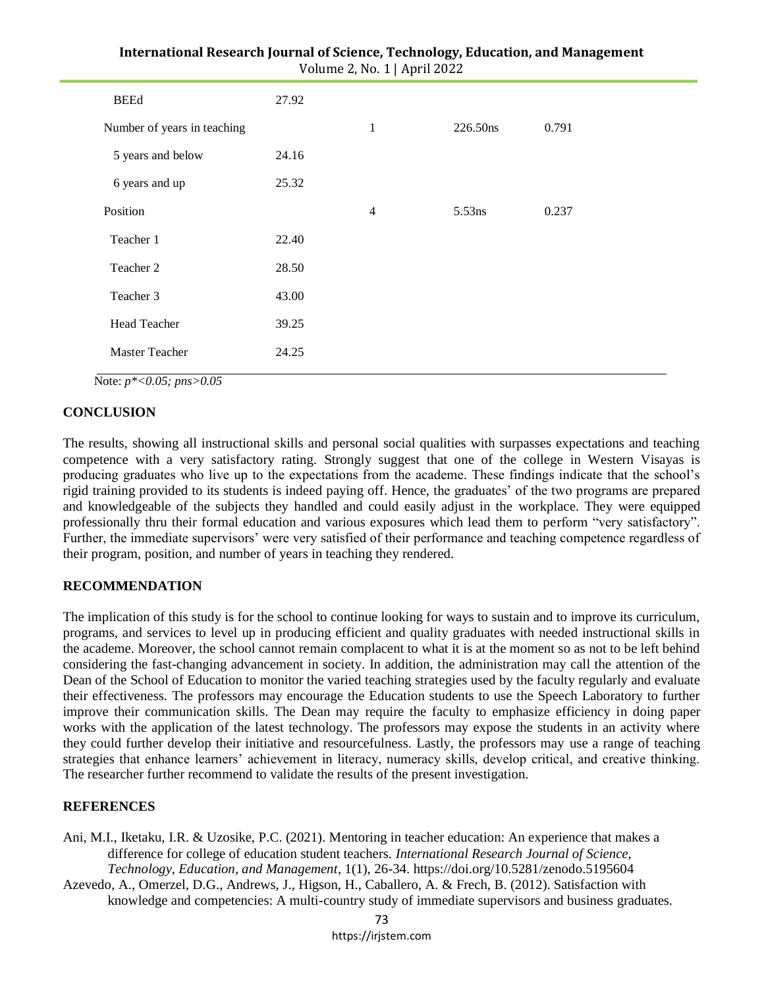| Volume 2, No. 1   April 2022 |       |                |           |       |  |
|------------------------------|-------|----------------|-----------|-------|--|
| <b>BEEd</b>                  | 27.92 |                |           |       |  |
| Number of years in teaching  |       | $\mathbf{1}$   | 226.50ns  | 0.791 |  |
| 5 years and below            | 24.16 |                |           |       |  |
| 6 years and up               | 25.32 |                |           |       |  |
| Position                     |       | $\overline{4}$ | $5.53$ ns | 0.237 |  |
| Teacher 1                    | 22.40 |                |           |       |  |
| Teacher 2                    | 28.50 |                |           |       |  |
| Teacher 3                    | 43.00 |                |           |       |  |
| <b>Head Teacher</b>          | 39.25 |                |           |       |  |
| Master Teacher               | 24.25 |                |           |       |  |
|                              |       |                |           |       |  |

|                              | International Research Journal of Science, Technology, Education, and Management |
|------------------------------|----------------------------------------------------------------------------------|
| Volume 2, No. 1   April 2022 |                                                                                  |

Note: *p\*<0.05; pns>0.05* 

#### **CONCLUSION**

The results, showing all instructional skills and personal social qualities with surpasses expectations and teaching competence with a very satisfactory rating. Strongly suggest that one of the college in Western Visayas is producing graduates who live up to the expectations from the academe. These findings indicate that the school"s rigid training provided to its students is indeed paying off. Hence, the graduates" of the two programs are prepared and knowledgeable of the subjects they handled and could easily adjust in the workplace. They were equipped professionally thru their formal education and various exposures which lead them to perform "very satisfactory". Further, the immediate supervisors' were very satisfied of their performance and teaching competence regardless of their program, position, and number of years in teaching they rendered.

#### **RECOMMENDATION**

The implication of this study is for the school to continue looking for ways to sustain and to improve its curriculum, programs, and services to level up in producing efficient and quality graduates with needed instructional skills in the academe. Moreover, the school cannot remain complacent to what it is at the moment so as not to be left behind considering the fast-changing advancement in society. In addition, the administration may call the attention of the Dean of the School of Education to monitor the varied teaching strategies used by the faculty regularly and evaluate their effectiveness. The professors may encourage the Education students to use the Speech Laboratory to further improve their communication skills. The Dean may require the faculty to emphasize efficiency in doing paper works with the application of the latest technology. The professors may expose the students in an activity where they could further develop their initiative and resourcefulness. Lastly, the professors may use a range of teaching strategies that enhance learners" achievement in literacy, numeracy skills, develop critical, and creative thinking. The researcher further recommend to validate the results of the present investigation.

#### **REFERENCES**

Ani, M.I., Iketaku, I.R. & Uzosike, P.C. (2021). Mentoring in teacher education: An experience that makes a difference for college of education student teachers. *International Research Journal of Science, Technology, Education, and Management*, 1(1), 26-34. https://doi.org/10.5281/zenodo.5195604

Azevedo, A., Omerzel, D.G., Andrews, J., Higson, H., Caballero, A. & Frech, B. (2012). Satisfaction with knowledge and competencies: A multi-country study of immediate supervisors and business graduates.

> 73 https://irjstem.com